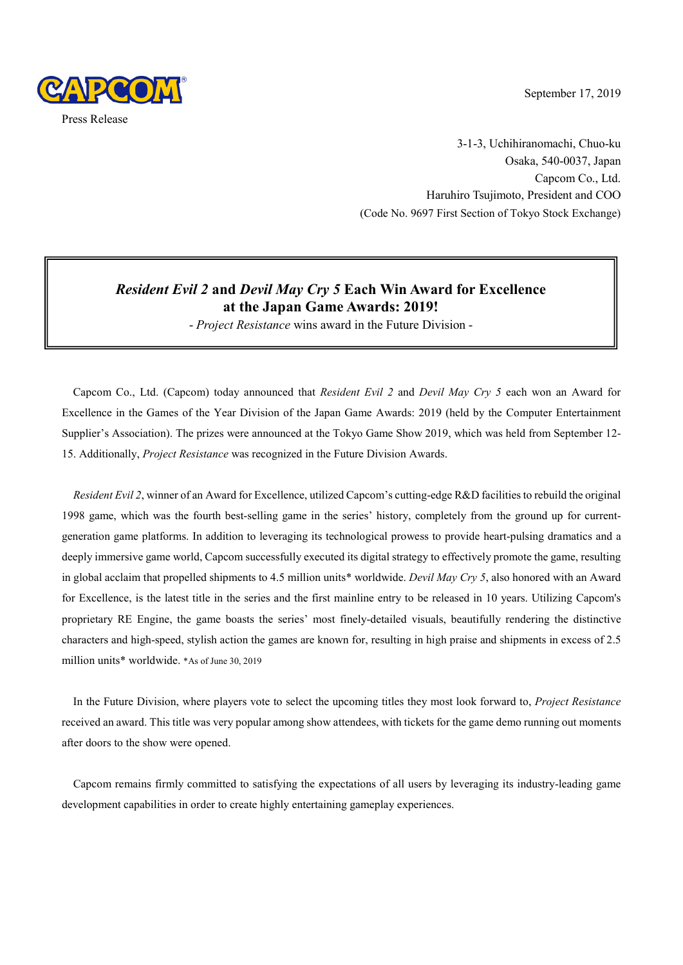

September 17, 2019

3-1-3, Uchihiranomachi, Chuo-ku Osaka, 540-0037, Japan Capcom Co., Ltd. Haruhiro Tsujimoto, President and COO (Code No. 9697 First Section of Tokyo Stock Exchange)

# *Resident Evil 2* **and** *Devil May Cry 5* **Each Win Award for Excellence at the Japan Game Awards: 2019!**

- *Project Resistance* wins award in the Future Division -

Capcom Co., Ltd. (Capcom) today announced that *Resident Evil 2* and *Devil May Cry 5* each won an Award for Excellence in the Games of the Year Division of the Japan Game Awards: 2019 (held by the Computer Entertainment Supplier's Association). The prizes were announced at the Tokyo Game Show 2019, which was held from September 12- 15. Additionally, *Project Resistance* was recognized in the Future Division Awards.

*Resident Evil 2*, winner of an Award for Excellence, utilized Capcom's cutting-edge R&D facilities to rebuild the original 1998 game, which was the fourth best-selling game in the series' history, completely from the ground up for currentgeneration game platforms. In addition to leveraging its technological prowess to provide heart-pulsing dramatics and a deeply immersive game world, Capcom successfully executed its digital strategy to effectively promote the game, resulting in global acclaim that propelled shipments to 4.5 million units\* worldwide. *Devil May Cry 5*, also honored with an Award for Excellence, is the latest title in the series and the first mainline entry to be released in 10 years. Utilizing Capcom's proprietary RE Engine, the game boasts the series' most finely-detailed visuals, beautifully rendering the distinctive characters and high-speed, stylish action the games are known for, resulting in high praise and shipments in excess of 2.5 million units\* worldwide. \*As of June 30, 2019

In the Future Division, where players vote to select the upcoming titles they most look forward to, *Project Resistance* received an award. This title was very popular among show attendees, with tickets for the game demo running out moments after doors to the show were opened.

Capcom remains firmly committed to satisfying the expectations of all users by leveraging its industry-leading game development capabilities in order to create highly entertaining gameplay experiences.